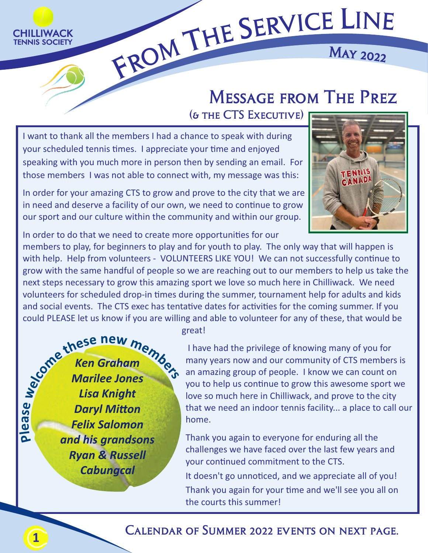

## <sup>R</sup>VIC<sup>E</sup> LIN<sup>E</sup> EFROM THE SE

### Ma<sup>y</sup> <sup>2</sup>02<sup>2</sup>

### Message from The Prez

(& the CTS Executive)

I want to thank all the members I had a chance to speak with during your scheduled tennis times. I appreciate your time and enjoyed speaking with you much more in person then by sending an email. For those members I was not able to connect with, my message was this:



In order for your amazing CTS to grow and prove to the city that we are in need and deserve a facility of our own, we need to continue to grow our sport and our culture within the community and within our group.

In order to do that we need to create more opportunities for our

members to play, for beginners to play and for youth to play. The only way that will happen is with help. Help from volunteers - VOLUNTEERS LIKE YOU! We can not successfully continue to grow with the same handful of people so we are reaching out to our members to help us take the next steps necessary to grow this amazing sport we love so much here in Chilliwack. We need volunteers for scheduled drop-in times during the summer, tournament help for adults and kids and social events. The CTS exec has tentative dates for activities for the coming summer. If you could PLEASE let us know if you are willing and able to volunteer for any of these, that would be

*Ken Graham Marilee Jones Lisa Knight* **Daryl Mitton** *Felix Salomon and his grandsons Ryan & Russell Cabungcal* 

great!

 I have had the privilege of knowing many of you for many years now and our community of CTS members is an amazing group of people. I know we can count on you to help us continue to grow this awesome sport we love so much here in Chilliwack, and prove to the city that we need an indoor tennis facility... a place to call our home.

Thank you again to everyone for enduring all the challenges we have faced over the last few years and your continued commitment to the CTS.

It doesn't go unnoticed, and we appreciate all of you! Thank you again for your time and we'll see you all on the courts this summer!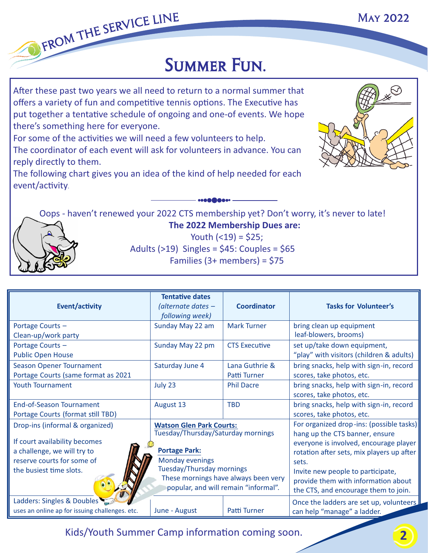# FROM THE SERVICE LINE<br>SUMMER FUN.

After these past two years we all need to return to a normal summer that offers a variety of fun and competitive tennis options. The Executive has put together a tentative schedule of ongoing and one-of events. We hope there's something here for everyone.

For some of the activities we will need a few volunteers to help.

The coordinator of each event will ask for volunteers in advance. You can reply directly to them.

The following chart gives you an idea of the kind of help needed for each event/activity.



May 2022

Oops - haven't renewed your 2022 CTS membership yet? Don't worry, it's never to late!



 **The 2022 Membership Dues are:** Youth  $($  < 19 $)$  = \$25; Adults  $(>19)$  Singles = \$45: Couples = \$65 Families (3+ members) = \$75

| <b>Event/activity</b>                                                                                                                                    | <b>Tentative dates</b><br>(alternate dates –<br>following week)                                                                                                                                                                      | <b>Coordinator</b>             | <b>Tasks for Volunteer's</b>                                                                                                                                                                                                                                                                   |
|----------------------------------------------------------------------------------------------------------------------------------------------------------|--------------------------------------------------------------------------------------------------------------------------------------------------------------------------------------------------------------------------------------|--------------------------------|------------------------------------------------------------------------------------------------------------------------------------------------------------------------------------------------------------------------------------------------------------------------------------------------|
| Portage Courts -<br>Clean-up/work party                                                                                                                  | Sunday May 22 am                                                                                                                                                                                                                     | <b>Mark Turner</b>             | bring clean up equipment<br>leaf-blowers, brooms)                                                                                                                                                                                                                                              |
| Portage Courts -<br><b>Public Open House</b>                                                                                                             | Sunday May 22 pm                                                                                                                                                                                                                     | <b>CTS Executive</b>           | set up/take down equipment,<br>"play" with visitors (children & adults)                                                                                                                                                                                                                        |
| <b>Season Opener Tournament</b><br>Portage Courts (same format as 2021                                                                                   | Saturday June 4                                                                                                                                                                                                                      | Lana Guthrie &<br>Patti Turner | bring snacks, help with sign-in, record<br>scores, take photos, etc.                                                                                                                                                                                                                           |
| <b>Youth Tournament</b>                                                                                                                                  | July 23                                                                                                                                                                                                                              | <b>Phil Dacre</b>              | bring snacks, help with sign-in, record<br>scores, take photos, etc.                                                                                                                                                                                                                           |
| <b>End-of-Season Tournament</b><br>Portage Courts (format still TBD)                                                                                     | August 13                                                                                                                                                                                                                            | <b>TBD</b>                     | bring snacks, help with sign-in, record<br>scores, take photos, etc.                                                                                                                                                                                                                           |
| Drop-ins (informal & organized)<br>If court availability becomes<br>a challenge, we will try to<br>reserve courts for some of<br>the busiest time slots. | <b>Watson Glen Park Courts:</b><br>Tuesday/Thursday/Saturday mornings<br><b>Portage Park:</b><br><b>Monday evenings</b><br>Tuesday/Thursday mornings<br>These mornings have always been very<br>popular, and will remain "informal". |                                | For organized drop-ins: (possible tasks)<br>hang up the CTS banner, ensure<br>everyone is involved, encourage player<br>rotation after sets, mix players up after<br>sets.<br>Invite new people to participate,<br>provide them with information about<br>the CTS, and encourage them to join. |
| Ladders: Singles & Doubles<br>uses an online ap for issuing challenges. etc.                                                                             | June - August                                                                                                                                                                                                                        | Patti Turner                   | Once the ladders are set up, volunteers<br>can help "manage" a ladder.                                                                                                                                                                                                                         |

Kids/Youth Summer Camp information coming soon.